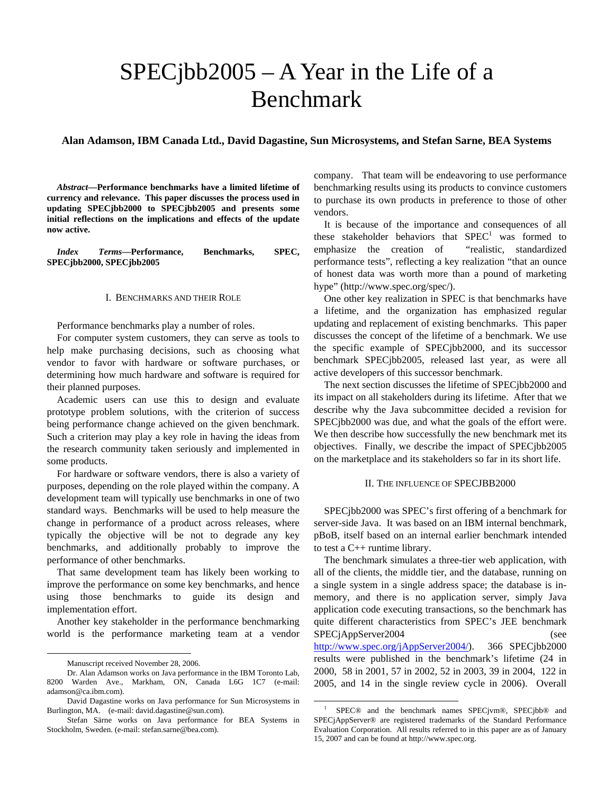# SPECjbb2005 – A Year in the Life of a Benchmark

**Alan Adamson, IBM Canada Ltd., David Dagastine, Sun Microsystems, and Stefan Sarne, BEA Systems** 

*Abstract***—Performance benchmarks have a limited lifetime of currency and relevance. This paper discusses the process used in updating SPECjbb2000 to SPECjbb2005 and presents some initial reflections on the implications and effects of the update now active.** 

*Index Terms***—Performance, Benchmarks, SPEC, SPECjbb2000, SPECjbb2005** 

#### I. BENCHMARKS AND THEIR ROLE

Performance benchmarks play a number of roles.

For computer system customers, they can serve as tools to help make purchasing decisions, such as choosing what vendor to favor with hardware or software purchases, or determining how much hardware and software is required for their planned purposes.

Academic users can use this to design and evaluate prototype problem solutions, with the criterion of success being performance change achieved on the given benchmark. Such a criterion may play a key role in having the ideas from the research community taken seriously and implemented in some products.

For hardware or software vendors, there is also a variety of purposes, depending on the role played within the company. A development team will typically use benchmarks in one of two standard ways. Benchmarks will be used to help measure the change in performance of a product across releases, where typically the objective will be not to degrade any key benchmarks, and additionally probably to improve the performance of other benchmarks.

That same development team has likely been working to improve the performance on some key benchmarks, and hence using those benchmarks to guide its design and implementation effort.

Another key stakeholder in the performance benchmarking world is the performance marketing team at a vendor

-

company. That team will be endeavoring to use performance benchmarking results using its products to convince customers to purchase its own products in preference to those of other vendors.

It is because of the importance and consequences of all these stakeholder behaviors that  $SPEC<sup>1</sup>$  was formed to emphasize the creation of "realistic, standardized performance tests", reflecting a key realization "that an ounce of honest data was worth more than a pound of marketing hype" (http://www.spec.org/spec/).

One other key realization in SPEC is that benchmarks have a lifetime, and the organization has emphasized regular updating and replacement of existing benchmarks. This paper discusses the concept of the lifetime of a benchmark. We use the specific example of SPECjbb2000, and its successor benchmark SPECjbb2005, released last year, as were all active developers of this successor benchmark.

The next section discusses the lifetime of SPECjbb2000 and its impact on all stakeholders during its lifetime. After that we describe why the Java subcommittee decided a revision for SPECjbb2000 was due, and what the goals of the effort were. We then describe how successfully the new benchmark met its objectives. Finally, we describe the impact of SPECjbb2005 on the marketplace and its stakeholders so far in its short life.

## II. THE INFLUENCE OF SPECJBB2000

SPECjbb2000 was SPEC's first offering of a benchmark for server-side Java. It was based on an IBM internal benchmark, pBoB, itself based on an internal earlier benchmark intended to test a C++ runtime library.

The benchmark simulates a three-tier web application, with all of the clients, the middle tier, and the database, running on a single system in a single address space; the database is inmemory, and there is no application server, simply Java application code executing transactions, so the benchmark has quite different characteristics from SPEC's JEE benchmark SPECjAppServer2004 (see http://www.spec.org/jAppServer2004/). 366 SPECjbb2000 results were published in the benchmark's lifetime (24 in 2000, 58 in 2001, 57 in 2002, 52 in 2003, 39 in 2004, 122 in 2005, and 14 in the single review cycle in 2006). Overall

Manuscript received November 28, 2006.

Dr. Alan Adamson works on Java performance in the IBM Toronto Lab, 8200 Warden Ave., Markham, ON, Canada L6G 1C7 (e-mail: adamson@ca.ibm.com).

David Dagastine works on Java performance for Sun Microsystems in Burlington, MA. (e-mail: david.dagastine@sun.com).

Stefan Särne works on Java performance for BEA Systems in Stockholm, Sweden. (e-mail: stefan.sarne@bea.com).

 $\overline{1}$  SPEC® and the benchmark names SPECjvm®, SPECjbb® and SPECjAppServer® are registered trademarks of the Standard Performance Evaluation Corporation. All results referred to in this paper are as of January 15, 2007 and can be found at http://www.spec.org.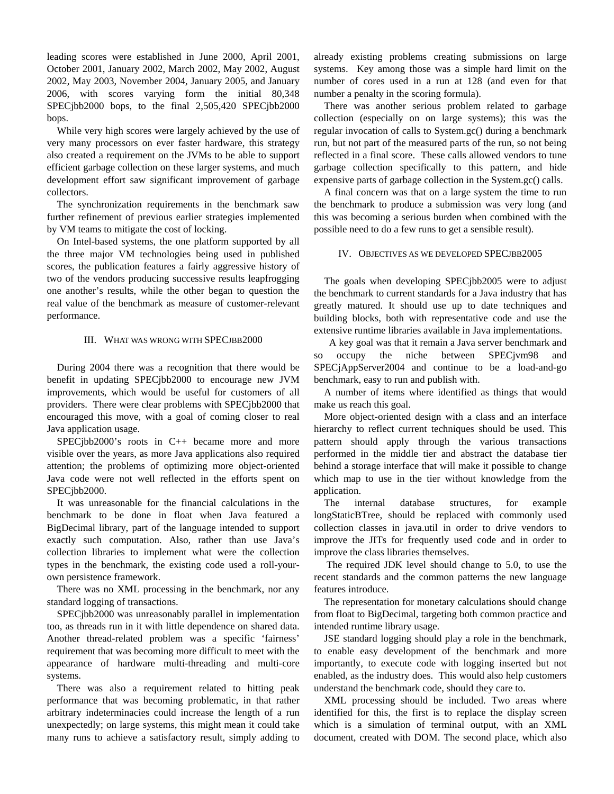leading scores were established in June 2000, April 2001, October 2001, January 2002, March 2002, May 2002, August 2002, May 2003, November 2004, January 2005, and January 2006, with scores varying form the initial 80,348 SPECjbb2000 bops, to the final 2,505,420 SPECjbb2000 bops.

While very high scores were largely achieved by the use of very many processors on ever faster hardware, this strategy also created a requirement on the JVMs to be able to support efficient garbage collection on these larger systems, and much development effort saw significant improvement of garbage collectors.

The synchronization requirements in the benchmark saw further refinement of previous earlier strategies implemented by VM teams to mitigate the cost of locking.

On Intel-based systems, the one platform supported by all the three major VM technologies being used in published scores, the publication features a fairly aggressive history of two of the vendors producing successive results leapfrogging one another's results, while the other began to question the real value of the benchmark as measure of customer-relevant performance.

### III. WHAT WAS WRONG WITH SPECJBB2000

During 2004 there was a recognition that there would be benefit in updating SPECjbb2000 to encourage new JVM improvements, which would be useful for customers of all providers. There were clear problems with SPECjbb2000 that encouraged this move, with a goal of coming closer to real Java application usage.

SPECjbb2000's roots in C++ became more and more visible over the years, as more Java applications also required attention; the problems of optimizing more object-oriented Java code were not well reflected in the efforts spent on SPECjbb2000.

It was unreasonable for the financial calculations in the benchmark to be done in float when Java featured a BigDecimal library, part of the language intended to support exactly such computation. Also, rather than use Java's collection libraries to implement what were the collection types in the benchmark, the existing code used a roll-yourown persistence framework.

There was no XML processing in the benchmark, nor any standard logging of transactions.

SPECjbb2000 was unreasonably parallel in implementation too, as threads run in it with little dependence on shared data. Another thread-related problem was a specific 'fairness' requirement that was becoming more difficult to meet with the appearance of hardware multi-threading and multi-core systems.

There was also a requirement related to hitting peak performance that was becoming problematic, in that rather arbitrary indeterminacies could increase the length of a run unexpectedly; on large systems, this might mean it could take many runs to achieve a satisfactory result, simply adding to

already existing problems creating submissions on large systems. Key among those was a simple hard limit on the number of cores used in a run at 128 (and even for that number a penalty in the scoring formula).

There was another serious problem related to garbage collection (especially on on large systems); this was the regular invocation of calls to System.gc() during a benchmark run, but not part of the measured parts of the run, so not being reflected in a final score. These calls allowed vendors to tune garbage collection specifically to this pattern, and hide expensive parts of garbage collection in the System.gc() calls.

A final concern was that on a large system the time to run the benchmark to produce a submission was very long (and this was becoming a serious burden when combined with the possible need to do a few runs to get a sensible result).

#### IV. OBJECTIVES AS WE DEVELOPED SPECJBB2005

The goals when developing SPECjbb2005 were to adjust the benchmark to current standards for a Java industry that has greatly matured. It should use up to date techniques and building blocks, both with representative code and use the extensive runtime libraries available in Java implementations.

 A key goal was that it remain a Java server benchmark and so occupy the niche between SPECjvm98 and SPECjAppServer2004 and continue to be a load-and-go benchmark, easy to run and publish with.

A number of items where identified as things that would make us reach this goal.

More object-oriented design with a class and an interface hierarchy to reflect current techniques should be used. This pattern should apply through the various transactions performed in the middle tier and abstract the database tier behind a storage interface that will make it possible to change which map to use in the tier without knowledge from the application.

The internal database structures, for example longStaticBTree, should be replaced with commonly used collection classes in java.util in order to drive vendors to improve the JITs for frequently used code and in order to improve the class libraries themselves.

 The required JDK level should change to 5.0, to use the recent standards and the common patterns the new language features introduce.

The representation for monetary calculations should change from float to BigDecimal, targeting both common practice and intended runtime library usage.

JSE standard logging should play a role in the benchmark, to enable easy development of the benchmark and more importantly, to execute code with logging inserted but not enabled, as the industry does. This would also help customers understand the benchmark code, should they care to.

XML processing should be included. Two areas where identified for this, the first is to replace the display screen which is a simulation of terminal output, with an XML document, created with DOM. The second place, which also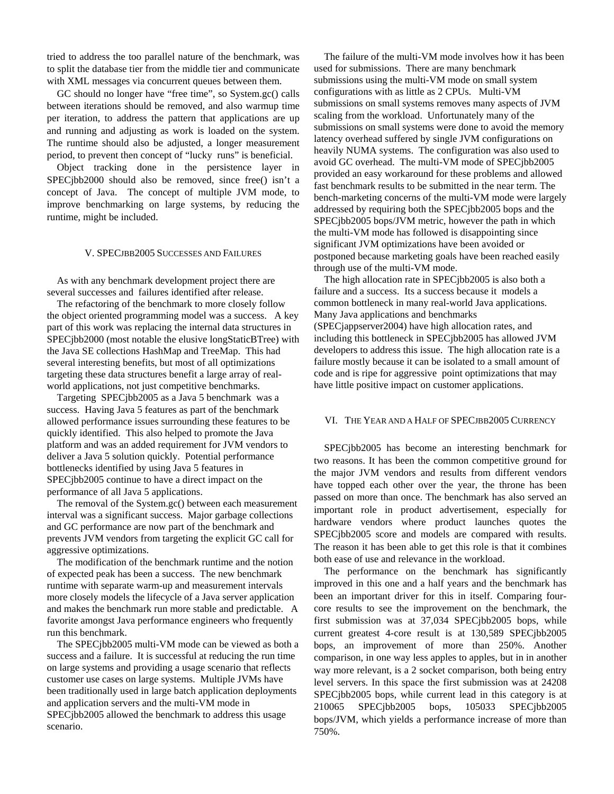tried to address the too parallel nature of the benchmark, was to split the database tier from the middle tier and communicate with XML messages via concurrent queues between them.

GC should no longer have "free time", so System.gc() calls between iterations should be removed, and also warmup time per iteration, to address the pattern that applications are up and running and adjusting as work is loaded on the system. The runtime should also be adjusted, a longer measurement period, to prevent then concept of "lucky runs" is beneficial.

Object tracking done in the persistence layer in SPECjbb2000 should also be removed, since free() isn't a concept of Java. The concept of multiple JVM mode, to improve benchmarking on large systems, by reducing the runtime, might be included.

#### V. SPECJBB2005 SUCCESSES AND FAILURES

 As with any benchmark development project there are several successes and failures identified after release.

 The refactoring of the benchmark to more closely follow the object oriented programming model was a success. A key part of this work was replacing the internal data structures in SPECjbb2000 (most notable the elusive longStaticBTree) with the Java SE collections HashMap and TreeMap. This had several interesting benefits, but most of all optimizations targeting these data structures benefit a large array of realworld applications, not just competitive benchmarks.

 Targeting SPECjbb2005 as a Java 5 benchmark was a success. Having Java 5 features as part of the benchmark allowed performance issues surrounding these features to be quickly identified. This also helped to promote the Java platform and was an added requirement for JVM vendors to deliver a Java 5 solution quickly. Potential performance bottlenecks identified by using Java 5 features in SPECjbb2005 continue to have a direct impact on the performance of all Java 5 applications.

 The removal of the System.gc() between each measurement interval was a significant success. Major garbage collections and GC performance are now part of the benchmark and prevents JVM vendors from targeting the explicit GC call for aggressive optimizations.

 The modification of the benchmark runtime and the notion of expected peak has been a success. The new benchmark runtime with separate warm-up and measurement intervals more closely models the lifecycle of a Java server application and makes the benchmark run more stable and predictable. A favorite amongst Java performance engineers who frequently run this benchmark.

 The SPECjbb2005 multi-VM mode can be viewed as both a success and a failure. It is successful at reducing the run time on large systems and providing a usage scenario that reflects customer use cases on large systems. Multiple JVMs have been traditionally used in large batch application deployments and application servers and the multi-VM mode in SPECjbb2005 allowed the benchmark to address this usage scenario.

 The failure of the multi-VM mode involves how it has been used for submissions. There are many benchmark submissions using the multi-VM mode on small system configurations with as little as 2 CPUs. Multi-VM submissions on small systems removes many aspects of JVM scaling from the workload. Unfortunately many of the submissions on small systems were done to avoid the memory latency overhead suffered by single JVM configurations on heavily NUMA systems. The configuration was also used to avoid GC overhead. The multi-VM mode of SPECjbb2005 provided an easy workaround for these problems and allowed fast benchmark results to be submitted in the near term. The bench-marketing concerns of the multi-VM mode were largely addressed by requiring both the SPECjbb2005 bops and the SPECjbb2005 bops/JVM metric, however the path in which the multi-VM mode has followed is disappointing since significant JVM optimizations have been avoided or postponed because marketing goals have been reached easily through use of the multi-VM mode.

 The high allocation rate in SPECjbb2005 is also both a failure and a success. Its a success because it models a common bottleneck in many real-world Java applications. Many Java applications and benchmarks (SPECjappserver2004) have high allocation rates, and including this bottleneck in SPECjbb2005 has allowed JVM developers to address this issue. The high allocation rate is a failure mostly because it can be isolated to a small amount of code and is ripe for aggressive point optimizations that may have little positive impact on customer applications.

#### VI. THE YEAR AND A HALF OF SPECJBB2005 CURRENCY

SPECjbb2005 has become an interesting benchmark for two reasons. It has been the common competitive ground for the major JVM vendors and results from different vendors have topped each other over the year, the throne has been passed on more than once. The benchmark has also served an important role in product advertisement, especially for hardware vendors where product launches quotes the SPECjbb2005 score and models are compared with results. The reason it has been able to get this role is that it combines both ease of use and relevance in the workload.

The performance on the benchmark has significantly improved in this one and a half years and the benchmark has been an important driver for this in itself. Comparing fourcore results to see the improvement on the benchmark, the first submission was at 37,034 SPECjbb2005 bops, while current greatest 4-core result is at 130,589 SPECjbb2005 bops, an improvement of more than 250%. Another comparison, in one way less apples to apples, but in in another way more relevant, is a 2 socket comparison, both being entry level servers. In this space the first submission was at 24208 SPECjbb2005 bops, while current lead in this category is at 210065 SPECjbb2005 bops, 105033 SPECjbb2005 bops/JVM, which yields a performance increase of more than 750%.